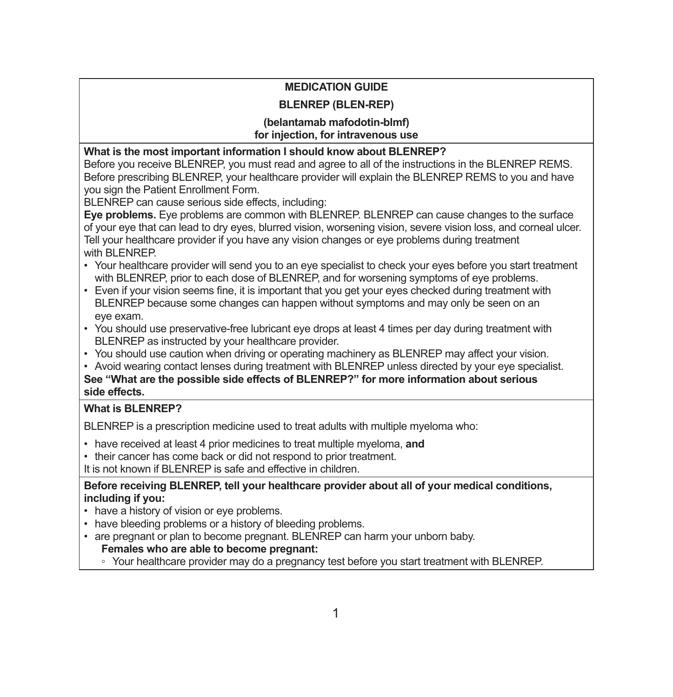# **MEDICATION GUIDE**

## **BLENREP (BLEN-REP)**

#### **(belantamab mafodotin-blmf) for injection, for intravenous use**

**What is the most important information I should know about BLENREP?**

Before you receive BLENREP, you must read and agree to all of the instructions in the BLENREP REMS. Before prescribing BLENREP, your healthcare provider will explain the BLENREP REMS to you and have you sign the Patient Enrollment Form.

BLENREP can cause serious side effects, including:

**Eye problems.** Eye problems are common with BLENREP. BLENREP can cause changes to the surface of your eye that can lead to dry eyes, blurred vision, worsening vision, severe vision loss, and corneal ulcer. Tell your healthcare provider if you have any vision changes or eye problems during treatment with BLENREP.

- Your healthcare provider will send you to an eye specialist to check your eyes before you start treatment with BLENREP, prior to each dose of BLENREP, and for worsening symptoms of eye problems.
- Even if your vision seems fine, it is important that you get your eyes checked during treatment with BLENREP because some changes can happen without symptoms and may only be seen on an eye exam.
- You should use preservative-free lubricant eye drops at least 4 times per day during treatment with BLENREP as instructed by your healthcare provider.
- You should use caution when driving or operating machinery as BLENREP may affect your vision.
- Avoid wearing contact lenses during treatment with BLENREP unless directed by your eye specialist.

**See "What are the possible side effects of BLENREP?" for more information about serious side effects.** 

### **What is BLENREP?**

BLENREP is a prescription medicine used to treat adults with multiple myeloma who:

- have received at least 4 prior medicines to treat multiple myeloma, **and**
- their cancer has come back or did not respond to prior treatment.

It is not known if BLENREP is safe and effective in children.

**Before receiving BLENREP, tell your healthcare provider about all of your medical conditions, including if you:**

- have a history of vision or eye problems.
- have bleeding problems or a history of bleeding problems.
- are pregnant or plan to become pregnant. BLENREP can harm your unborn baby.

### **Females who are able to become pregnant:**

◦ Your healthcare provider may do a pregnancy test before you start treatment with BLENREP.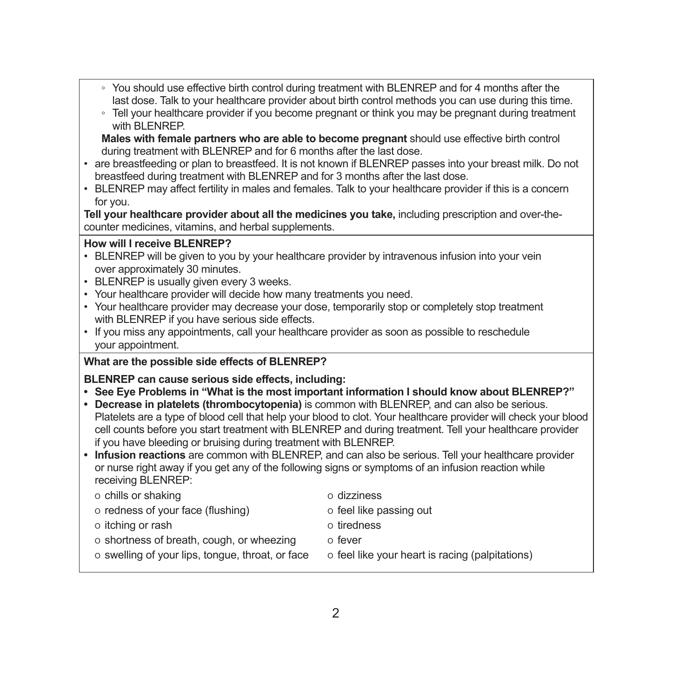- You should use effective birth control during treatment with BLENREP and for 4 months after the last dose. Talk to your healthcare provider about birth control methods you can use during this time.
- Tell your healthcare provider if you become pregnant or think you may be pregnant during treatment with BLENREP.

**Males with female partners who are able to become pregnant** should use effective birth control during treatment with BLENREP and for 6 months after the last dose.

- are breastfeeding or plan to breastfeed. It is not known if BLENREP passes into your breast milk. Do not breastfeed during treatment with BLENREP and for 3 months after the last dose.
- BLENREP may affect fertility in males and females. Talk to your healthcare provider if this is a concern for you.

**Tell your healthcare provider about all the medicines you take,** including prescription and over-thecounter medicines, vitamins, and herbal supplements.

#### **How will I receive BLENREP?**

- BLENREP will be given to you by your healthcare provider by intravenous infusion into your vein over approximately 30 minutes.
- BLENREP is usually given every 3 weeks.
- Your healthcare provider will decide how many treatments you need.
- Your healthcare provider may decrease your dose, temporarily stop or completely stop treatment with BLENREP if you have serious side effects.
- If you miss any appointments, call your healthcare provider as soon as possible to reschedule your appointment.

### **What are the possible side effects of BLENREP?**

### **BLENREP can cause serious side effects, including:**

- **• See Eye Problems in "What is the most important information I should know about BLENREP?"**
- **• Decrease in platelets (thrombocytopenia)** is common with BLENREP, and can also be serious. Platelets are a type of blood cell that help your blood to clot. Your healthcare provider will check your blood cell counts before you start treatment with BLENREP and during treatment. Tell your healthcare provider if you have bleeding or bruising during treatment with BLENREP.
- **• Infusion reactions** are common with BLENREP, and can also be serious. Tell your healthcare provider or nurse right away if you get any of the following signs or symptoms of an infusion reaction while receiving BLENREP:

|  |  |  | o chills or shaking |
|--|--|--|---------------------|
|--|--|--|---------------------|

- o redness of your face (flushing)  $\qquad \qquad$  o feel like passing out
- o itching or rash  $\overline{a}$  tiredness
	-
- o shortness of breath, cough, or wheezing o fever
- $\circ$  swelling of your lips, tongue, throat, or face  $\circ$  feel like your heart is racing (palpitations)
- o dizziness
- 
- 
- -